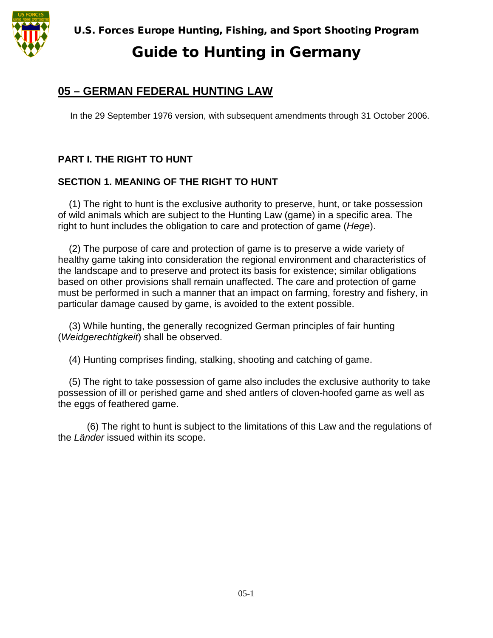

## Guide to Hunting in Germany

## **05 – GERMAN FEDERAL HUNTING LAW**

In the 29 September 1976 version, with subsequent amendments through 31 October 2006.

## **PART I. THE RIGHT TO HUNT**

### **SECTION 1. MEANING OF THE RIGHT TO HUNT**

(1) The right to hunt is the exclusive authority to preserve, hunt, or take possession of wild animals which are subject to the Hunting Law (game) in a specific area. The right to hunt includes the obligation to care and protection of game (*Hege*).

(2) The purpose of care and protection of game is to preserve a wide variety of healthy game taking into consideration the regional environment and characteristics of the landscape and to preserve and protect its basis for existence; similar obligations based on other provisions shall remain unaffected. The care and protection of game must be performed in such a manner that an impact on farming, forestry and fishery, in particular damage caused by game, is avoided to the extent possible.

(3) While hunting, the generally recognized German principles of fair hunting (*Weidgerechtigkeit*) shall be observed.

(4) Hunting comprises finding, stalking, shooting and catching of game.

(5) The right to take possession of game also includes the exclusive authority to take possession of ill or perished game and shed antlers of cloven-hoofed game as well as the eggs of feathered game.

(6) The right to hunt is subject to the limitations of this Law and the regulations of the *Länder* issued within its scope.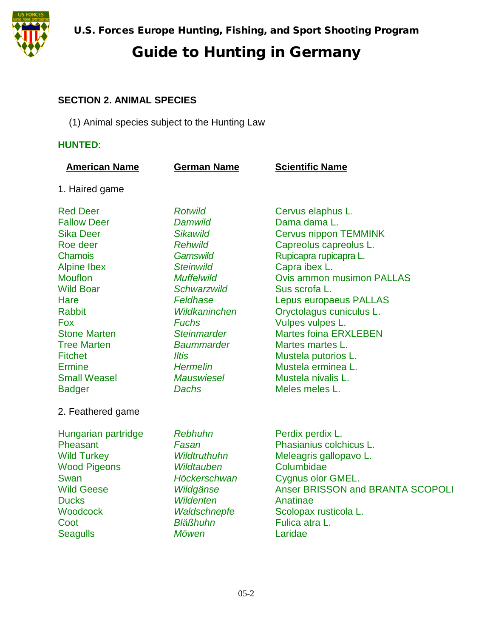

### **SECTION 2. ANIMAL SPECIES**

(1) Animal species subject to the Hunting Law

### **HUNTED**:

| <b>American Name</b>                                                                                                                                                                                                                                                                                               | <b>German Name</b>                                                                                                                                                                                                                                                                                               | <b>Scientific Name</b>                                                                                                                                                                                                                                                                                                                                                                                                |
|--------------------------------------------------------------------------------------------------------------------------------------------------------------------------------------------------------------------------------------------------------------------------------------------------------------------|------------------------------------------------------------------------------------------------------------------------------------------------------------------------------------------------------------------------------------------------------------------------------------------------------------------|-----------------------------------------------------------------------------------------------------------------------------------------------------------------------------------------------------------------------------------------------------------------------------------------------------------------------------------------------------------------------------------------------------------------------|
| 1. Haired game                                                                                                                                                                                                                                                                                                     |                                                                                                                                                                                                                                                                                                                  |                                                                                                                                                                                                                                                                                                                                                                                                                       |
| <b>Red Deer</b><br><b>Fallow Deer</b><br><b>Sika Deer</b><br>Roe deer<br><b>Chamois</b><br><b>Alpine Ibex</b><br><b>Mouflon</b><br><b>Wild Boar</b><br>Hare<br><b>Rabbit</b><br><b>Fox</b><br><b>Stone Marten</b><br><b>Tree Marten</b><br><b>Fitchet</b><br><b>Ermine</b><br><b>Small Weasel</b><br><b>Badger</b> | <b>Rotwild</b><br>Damwild<br><b>Sikawild</b><br><b>Rehwild</b><br><b>Gamswild</b><br><b>Steinwild</b><br><b>Muffelwild</b><br><b>Schwarzwild</b><br>Feldhase<br>Wildkaninchen<br><b>Fuchs</b><br><b>Steinmarder</b><br><b>Baummarder</b><br><b>Iltis</b><br><b>Hermelin</b><br><b>Mauswiesel</b><br><b>Dachs</b> | Cervus elaphus L.<br>Dama dama L.<br><b>Cervus nippon TEMMINK</b><br>Capreolus capreolus L.<br>Rupicapra rupicapra L.<br>Capra ibex L.<br><b>Ovis ammon musimon PALLAS</b><br>Sus scrofa L.<br><b>Lepus europaeus PALLAS</b><br>Oryctolagus cuniculus L.<br>Vulpes vulpes L.<br><b>Martes foina ERXLEBEN</b><br>Martes martes L.<br>Mustela putorios L.<br>Mustela erminea L.<br>Mustela nivalis L.<br>Meles meles L. |
| 2. Feathered game<br>Hungarian partridge<br>Pheasant<br><b>Wild Turkey</b><br><b>Wood Pigeons</b><br>Swan<br><b>Wild Geese</b><br><b>Ducks</b><br>Woodcock<br>Coot<br><b>Seagulls</b>                                                                                                                              | Rebhuhn<br>Fasan<br>Wildtruthuhn<br>Wildtauben<br>Höckerschwan<br>Wildgänse<br><b>Wildenten</b><br>Waldschnepfe<br><b>Bläßhuhn</b><br>Möwen                                                                                                                                                                      | Perdix perdix L.<br>Phasianius colchicus L.<br>Meleagris gallopavo L.<br>Columbidae<br>Cygnus olor GMEL.<br>Anser BRISSON and BRANTA SCOPOLI<br>Anatinae<br>Scolopax rusticola L.<br>Fulica atra L.<br>Laridae                                                                                                                                                                                                        |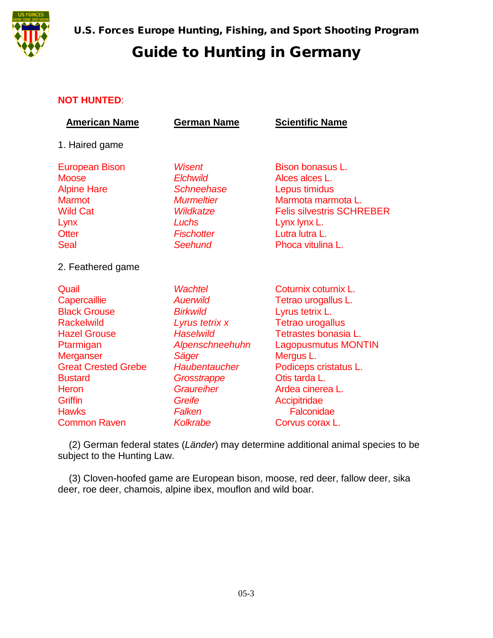

#### **NOT HUNTED**:

| <b>American Name</b>                                                                                                                                                                                                                        | <b>German Name</b>                                                                                                                                                                                   | <b>Scientific Name</b>                                                                                                                                                                                                                                                      |
|---------------------------------------------------------------------------------------------------------------------------------------------------------------------------------------------------------------------------------------------|------------------------------------------------------------------------------------------------------------------------------------------------------------------------------------------------------|-----------------------------------------------------------------------------------------------------------------------------------------------------------------------------------------------------------------------------------------------------------------------------|
| 1. Haired game                                                                                                                                                                                                                              |                                                                                                                                                                                                      |                                                                                                                                                                                                                                                                             |
| <b>European Bison</b><br><b>Moose</b><br><b>Alpine Hare</b><br><b>Marmot</b><br><b>Wild Cat</b><br>Lynx<br><b>Otter</b><br><b>Seal</b>                                                                                                      | <b>Wisent</b><br><b>Elchwild</b><br><b>Schneehase</b><br><b>Murmeltier</b><br>Wildkatze<br>Luchs<br><b>Fischotter</b><br>Seehund                                                                     | Bison bonasus L.<br>Alces alces L.<br>Lepus timidus<br>Marmota marmota L.<br><b>Felis silvestris SCHREBER</b><br>Lynx lynx L.<br>Lutra lutra L.<br>Phoca vitulina L.                                                                                                        |
| 2. Feathered game                                                                                                                                                                                                                           |                                                                                                                                                                                                      |                                                                                                                                                                                                                                                                             |
| Quail<br>Capercaillie<br><b>Black Grouse</b><br><b>Rackelwild</b><br><b>Hazel Grouse</b><br>Ptarmigan<br>Merganser<br><b>Great Crested Grebe</b><br><b>Bustard</b><br><b>Heron</b><br><b>Griffin</b><br><b>Hawks</b><br><b>Common Raven</b> | Wachtel<br><b>Auerwild</b><br><b>Birkwild</b><br>Lyrus tetrix x<br><b>Haselwild</b><br>Alpenschneehuhn<br>Säger<br>Haubentaucher<br>Grosstrappe<br>Graureiher<br>Greife<br>Falken<br><b>Kolkrabe</b> | Coturnix coturnix L.<br>Tetrao urogallus L.<br>Lyrus tetrix L.<br><b>Tetrao urogallus</b><br>Tetrastes bonasia L.<br><b>Lagopusmutus MONTIN</b><br>Mergus L.<br>Podiceps cristatus L.<br>Otis tarda L.<br>Ardea cinerea L.<br>Accipitridae<br>Falconidae<br>Corvus corax L. |

(2) German federal states (*Länder*) may determine additional animal species to be subject to the Hunting Law.

(3) Cloven-hoofed game are European bison, moose, red deer, fallow deer, sika deer, roe deer, chamois, alpine ibex, mouflon and wild boar.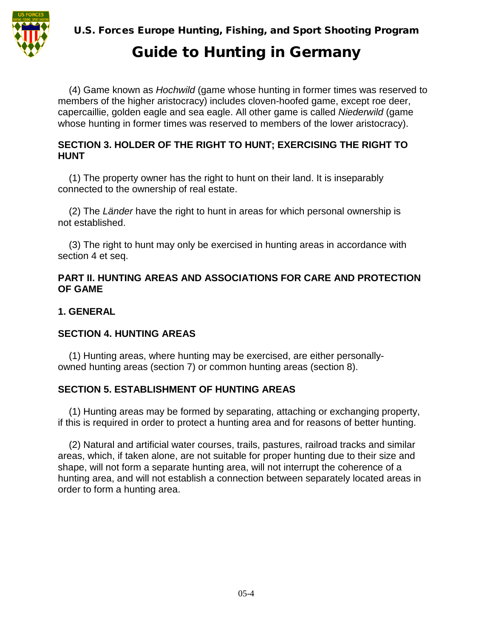

# Guide to Hunting in Germany

(4) Game known as *Hochwild* (game whose hunting in former times was reserved to members of the higher aristocracy) includes cloven-hoofed game, except roe deer, capercaillie, golden eagle and sea eagle. All other game is called *Niederwild* (game whose hunting in former times was reserved to members of the lower aristocracy).

#### **SECTION 3. HOLDER OF THE RIGHT TO HUNT; EXERCISING THE RIGHT TO HUNT**

(1) The property owner has the right to hunt on their land. It is inseparably connected to the ownership of real estate.

(2) The *Länder* have the right to hunt in areas for which personal ownership is not established.

(3) The right to hunt may only be exercised in hunting areas in accordance with section 4 et seq.

#### **PART II. HUNTING AREAS AND ASSOCIATIONS FOR CARE AND PROTECTION OF GAME**

#### **1. GENERAL**

#### **SECTION 4. HUNTING AREAS**

(1) Hunting areas, where hunting may be exercised, are either personallyowned hunting areas (section 7) or common hunting areas (section 8).

#### **SECTION 5. ESTABLISHMENT OF HUNTING AREAS**

(1) Hunting areas may be formed by separating, attaching or exchanging property, if this is required in order to protect a hunting area and for reasons of better hunting.

(2) Natural and artificial water courses, trails, pastures, railroad tracks and similar areas, which, if taken alone, are not suitable for proper hunting due to their size and shape, will not form a separate hunting area, will not interrupt the coherence of a hunting area, and will not establish a connection between separately located areas in order to form a hunting area.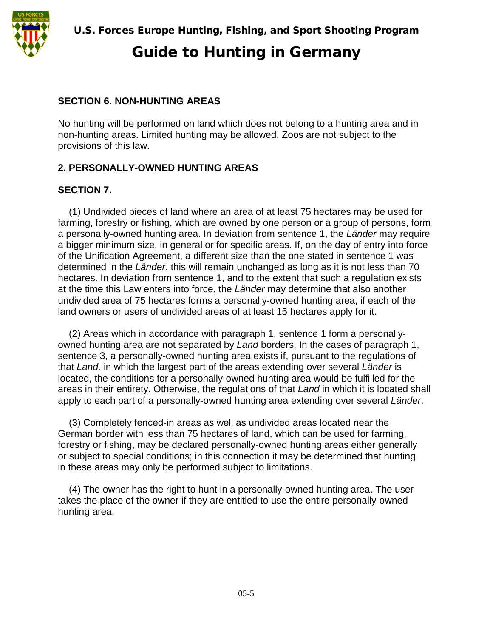

#### **SECTION 6. NON-HUNTING AREAS**

No hunting will be performed on land which does not belong to a hunting area and in non-hunting areas. Limited hunting may be allowed. Zoos are not subject to the provisions of this law.

#### **2. PERSONALLY-OWNED HUNTING AREAS**

#### **SECTION 7.**

(1) Undivided pieces of land where an area of at least 75 hectares may be used for farming, forestry or fishing, which are owned by one person or a group of persons, form a personally-owned hunting area. In deviation from sentence 1, the *Länder* may require a bigger minimum size, in general or for specific areas. If, on the day of entry into force of the Unification Agreement, a different size than the one stated in sentence 1 was determined in the *Länder*, this will remain unchanged as long as it is not less than 70 hectares. In deviation from sentence 1, and to the extent that such a regulation exists at the time this Law enters into force, the *Länder* may determine that also another undivided area of 75 hectares forms a personally-owned hunting area, if each of the land owners or users of undivided areas of at least 15 hectares apply for it.

(2) Areas which in accordance with paragraph 1, sentence 1 form a personallyowned hunting area are not separated by *Land* borders. In the cases of paragraph 1, sentence 3, a personally-owned hunting area exists if, pursuant to the regulations of that *Land,* in which the largest part of the areas extending over several *Länder* is located, the conditions for a personally-owned hunting area would be fulfilled for the areas in their entirety. Otherwise, the regulations of that *Land* in which it is located shall apply to each part of a personally-owned hunting area extending over several *Länder*.

(3) Completely fenced-in areas as well as undivided areas located near the German border with less than 75 hectares of land, which can be used for farming, forestry or fishing, may be declared personally-owned hunting areas either generally or subject to special conditions; in this connection it may be determined that hunting in these areas may only be performed subject to limitations.

(4) The owner has the right to hunt in a personally-owned hunting area. The user takes the place of the owner if they are entitled to use the entire personally-owned hunting area.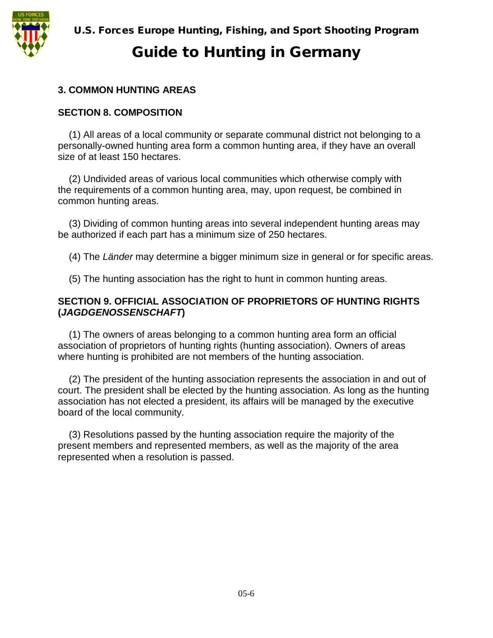### **3. COMMON HUNTING AREAS**

#### **SECTION 8. COMPOSITION**

(1) All areas of a local community or separate communal district not belonging to a personally-owned hunting area form a common hunting area, if they have an overall size of at least 150 hectares.

(2) Undivided areas of various local communities which otherwise comply with the requirements of a common hunting area, may, upon request, be combined in common hunting areas.

(3) Dividing of common hunting areas into several independent hunting areas may be authorized if each part has a minimum size of 250 hectares.

(4) The *Länder* may determine a bigger minimum size in general or for specific areas.

(5) The hunting association has the right to hunt in common hunting areas.

#### **SECTION 9. OFFICIAL ASSOCIATION OF PROPRIETORS OF HUNTING RIGHTS (***JAGDGENOSSENSCHAFT***)**

(1) The owners of areas belonging to a common hunting area form an official association of proprietors of hunting rights (hunting association). Owners of areas where hunting is prohibited are not members of the hunting association.

(2) The president of the hunting association represents the association in and out of court. The president shall be elected by the hunting association. As long as the hunting association has not elected a president, its affairs will be managed by the executive board of the local community.

(3) Resolutions passed by the hunting association require the majority of the present members and represented members, as well as the majority of the area represented when a resolution is passed.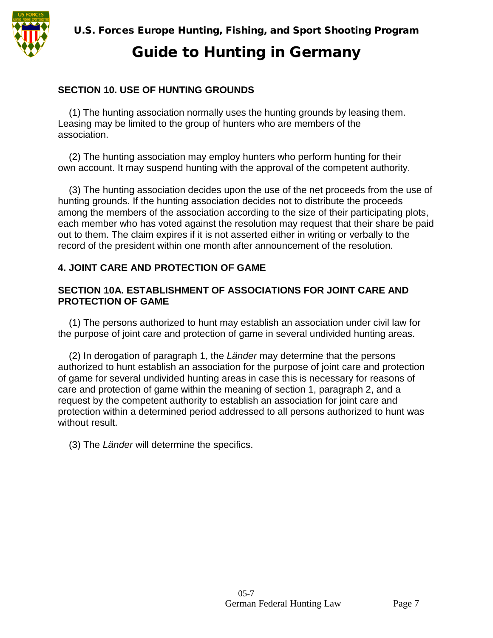

# Guide to Hunting in Germany

#### **SECTION 10. USE OF HUNTING GROUNDS**

(1) The hunting association normally uses the hunting grounds by leasing them. Leasing may be limited to the group of hunters who are members of the association.

(2) The hunting association may employ hunters who perform hunting for their own account. It may suspend hunting with the approval of the competent authority.

(3) The hunting association decides upon the use of the net proceeds from the use of hunting grounds. If the hunting association decides not to distribute the proceeds among the members of the association according to the size of their participating plots, each member who has voted against the resolution may request that their share be paid out to them. The claim expires if it is not asserted either in writing or verbally to the record of the president within one month after announcement of the resolution.

#### **4. JOINT CARE AND PROTECTION OF GAME**

#### **SECTION 10A. ESTABLISHMENT OF ASSOCIATIONS FOR JOINT CARE AND PROTECTION OF GAME**

(1) The persons authorized to hunt may establish an association under civil law for the purpose of joint care and protection of game in several undivided hunting areas.

(2) In derogation of paragraph 1, the *Länder* may determine that the persons authorized to hunt establish an association for the purpose of joint care and protection of game for several undivided hunting areas in case this is necessary for reasons of care and protection of game within the meaning of section 1, paragraph 2, and a request by the competent authority to establish an association for joint care and protection within a determined period addressed to all persons authorized to hunt was without result.

(3) The *Länder* will determine the specifics.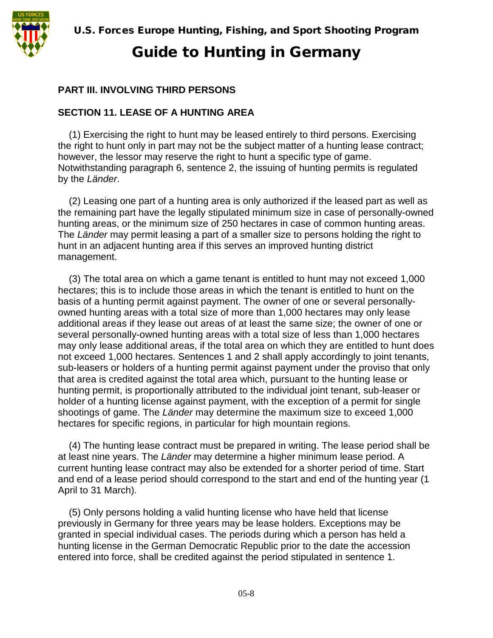#### **PART III. INVOLVING THIRD PERSONS**

#### **SECTION 11. LEASE OF A HUNTING AREA**

(1) Exercising the right to hunt may be leased entirely to third persons. Exercising the right to hunt only in part may not be the subject matter of a hunting lease contract; however, the lessor may reserve the right to hunt a specific type of game. Notwithstanding paragraph 6, sentence 2, the issuing of hunting permits is regulated by the *Länder*.

(2) Leasing one part of a hunting area is only authorized if the leased part as well as the remaining part have the legally stipulated minimum size in case of personally-owned hunting areas, or the minimum size of 250 hectares in case of common hunting areas. The *Länder* may permit leasing a part of a smaller size to persons holding the right to hunt in an adjacent hunting area if this serves an improved hunting district management.

(3) The total area on which a game tenant is entitled to hunt may not exceed 1,000 hectares; this is to include those areas in which the tenant is entitled to hunt on the basis of a hunting permit against payment. The owner of one or several personallyowned hunting areas with a total size of more than 1,000 hectares may only lease additional areas if they lease out areas of at least the same size; the owner of one or several personally-owned hunting areas with a total size of less than 1,000 hectares may only lease additional areas, if the total area on which they are entitled to hunt does not exceed 1,000 hectares. Sentences 1 and 2 shall apply accordingly to joint tenants, sub-leasers or holders of a hunting permit against payment under the proviso that only that area is credited against the total area which, pursuant to the hunting lease or hunting permit, is proportionally attributed to the individual joint tenant, sub-leaser or holder of a hunting license against payment, with the exception of a permit for single shootings of game. The *Länder* may determine the maximum size to exceed 1,000 hectares for specific regions, in particular for high mountain regions.

(4) The hunting lease contract must be prepared in writing. The lease period shall be at least nine years. The *Länder* may determine a higher minimum lease period. A current hunting lease contract may also be extended for a shorter period of time. Start and end of a lease period should correspond to the start and end of the hunting year (1 April to 31 March).

(5) Only persons holding a valid hunting license who have held that license previously in Germany for three years may be lease holders. Exceptions may be granted in special individual cases. The periods during which a person has held a hunting license in the German Democratic Republic prior to the date the accession entered into force, shall be credited against the period stipulated in sentence 1.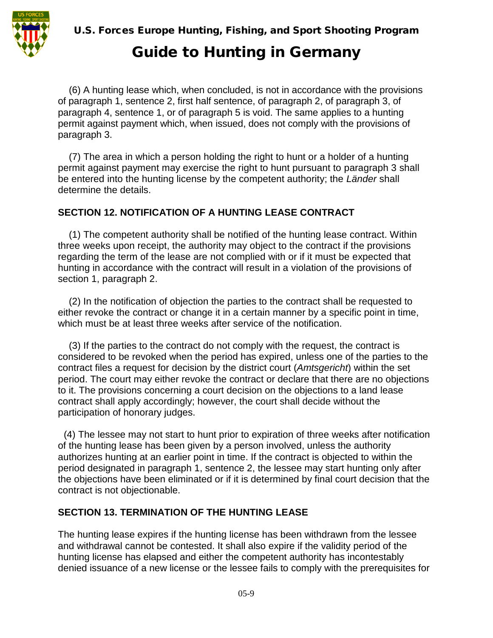

# Guide to Hunting in Germany

(6) A hunting lease which, when concluded, is not in accordance with the provisions of paragraph 1, sentence 2, first half sentence, of paragraph 2, of paragraph 3, of paragraph 4, sentence 1, or of paragraph 5 is void. The same applies to a hunting permit against payment which, when issued, does not comply with the provisions of paragraph 3.

(7) The area in which a person holding the right to hunt or a holder of a hunting permit against payment may exercise the right to hunt pursuant to paragraph 3 shall be entered into the hunting license by the competent authority; the *Länder* shall determine the details.

### **SECTION 12. NOTIFICATION OF A HUNTING LEASE CONTRACT**

(1) The competent authority shall be notified of the hunting lease contract. Within three weeks upon receipt, the authority may object to the contract if the provisions regarding the term of the lease are not complied with or if it must be expected that hunting in accordance with the contract will result in a violation of the provisions of section 1, paragraph 2.

(2) In the notification of objection the parties to the contract shall be requested to either revoke the contract or change it in a certain manner by a specific point in time, which must be at least three weeks after service of the notification.

(3) If the parties to the contract do not comply with the request, the contract is considered to be revoked when the period has expired, unless one of the parties to the contract files a request for decision by the district court (*Amtsgericht*) within the set period. The court may either revoke the contract or declare that there are no objections to it. The provisions concerning a court decision on the objections to a land lease contract shall apply accordingly; however, the court shall decide without the participation of honorary judges.

(4) The lessee may not start to hunt prior to expiration of three weeks after notification of the hunting lease has been given by a person involved, unless the authority authorizes hunting at an earlier point in time. If the contract is objected to within the period designated in paragraph 1, sentence 2, the lessee may start hunting only after the objections have been eliminated or if it is determined by final court decision that the contract is not objectionable.

#### **SECTION 13. TERMINATION OF THE HUNTING LEASE**

The hunting lease expires if the hunting license has been withdrawn from the lessee and withdrawal cannot be contested. It shall also expire if the validity period of the hunting license has elapsed and either the competent authority has incontestably denied issuance of a new license or the lessee fails to comply with the prerequisites for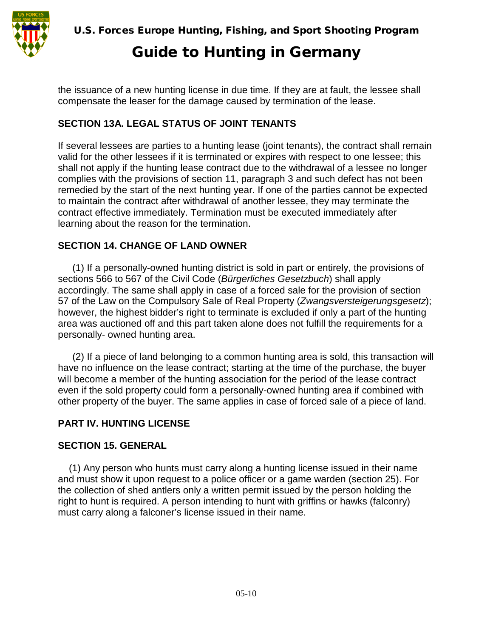

the issuance of a new hunting license in due time. If they are at fault, the lessee shall compensate the leaser for the damage caused by termination of the lease.

## **SECTION 13A. LEGAL STATUS OF JOINT TENANTS**

If several lessees are parties to a hunting lease (joint tenants), the contract shall remain valid for the other lessees if it is terminated or expires with respect to one lessee; this shall not apply if the hunting lease contract due to the withdrawal of a lessee no longer complies with the provisions of section 11, paragraph 3 and such defect has not been remedied by the start of the next hunting year. If one of the parties cannot be expected to maintain the contract after withdrawal of another lessee, they may terminate the contract effective immediately. Termination must be executed immediately after learning about the reason for the termination.

## **SECTION 14. CHANGE OF LAND OWNER**

(1) If a personally-owned hunting district is sold in part or entirely, the provisions of sections 566 to 567 of the Civil Code (*Bürgerliches Gesetzbuch*) shall apply accordingly. The same shall apply in case of a forced sale for the provision of section 57 of the Law on the Compulsory Sale of Real Property (*Zwangsversteigerungsgesetz*); however, the highest bidder's right to terminate is excluded if only a part of the hunting area was auctioned off and this part taken alone does not fulfill the requirements for a personally- owned hunting area.

(2) If a piece of land belonging to a common hunting area is sold, this transaction will have no influence on the lease contract; starting at the time of the purchase, the buyer will become a member of the hunting association for the period of the lease contract even if the sold property could form a personally-owned hunting area if combined with other property of the buyer. The same applies in case of forced sale of a piece of land.

#### **PART IV. HUNTING LICENSE**

#### **SECTION 15. GENERAL**

(1) Any person who hunts must carry along a hunting license issued in their name and must show it upon request to a police officer or a game warden (section 25). For the collection of shed antlers only a written permit issued by the person holding the right to hunt is required. A person intending to hunt with griffins or hawks (falconry) must carry along a falconer's license issued in their name.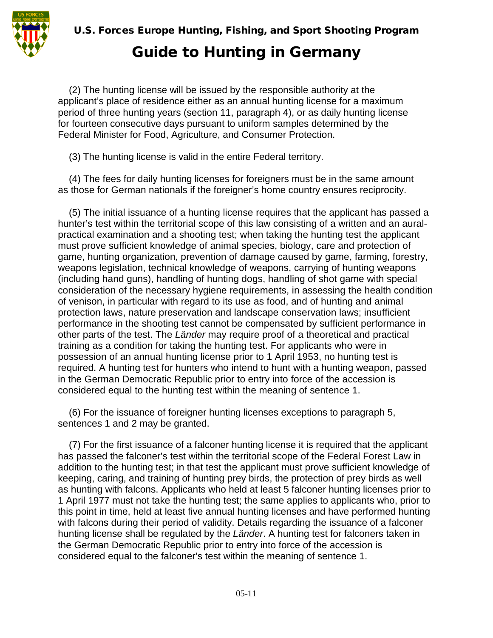

(2) The hunting license will be issued by the responsible authority at the applicant's place of residence either as an annual hunting license for a maximum period of three hunting years (section 11, paragraph 4), or as daily hunting license for fourteen consecutive days pursuant to uniform samples determined by the Federal Minister for Food, Agriculture, and Consumer Protection.

(3) The hunting license is valid in the entire Federal territory.

(4) The fees for daily hunting licenses for foreigners must be in the same amount as those for German nationals if the foreigner's home country ensures reciprocity.

(5) The initial issuance of a hunting license requires that the applicant has passed a hunter's test within the territorial scope of this law consisting of a written and an auralpractical examination and a shooting test; when taking the hunting test the applicant must prove sufficient knowledge of animal species, biology, care and protection of game, hunting organization, prevention of damage caused by game, farming, forestry, weapons legislation, technical knowledge of weapons, carrying of hunting weapons (including hand guns), handling of hunting dogs, handling of shot game with special consideration of the necessary hygiene requirements, in assessing the health condition of venison, in particular with regard to its use as food, and of hunting and animal protection laws, nature preservation and landscape conservation laws; insufficient performance in the shooting test cannot be compensated by sufficient performance in other parts of the test. The *Länder* may require proof of a theoretical and practical training as a condition for taking the hunting test. For applicants who were in possession of an annual hunting license prior to 1 April 1953, no hunting test is required. A hunting test for hunters who intend to hunt with a hunting weapon, passed in the German Democratic Republic prior to entry into force of the accession is considered equal to the hunting test within the meaning of sentence 1.

(6) For the issuance of foreigner hunting licenses exceptions to paragraph 5, sentences 1 and 2 may be granted.

(7) For the first issuance of a falconer hunting license it is required that the applicant has passed the falconer's test within the territorial scope of the Federal Forest Law in addition to the hunting test; in that test the applicant must prove sufficient knowledge of keeping, caring, and training of hunting prey birds, the protection of prey birds as well as hunting with falcons. Applicants who held at least 5 falconer hunting licenses prior to 1 April 1977 must not take the hunting test; the same applies to applicants who, prior to this point in time, held at least five annual hunting licenses and have performed hunting with falcons during their period of validity. Details regarding the issuance of a falconer hunting license shall be regulated by the *Länder*. A hunting test for falconers taken in the German Democratic Republic prior to entry into force of the accession is considered equal to the falconer's test within the meaning of sentence 1.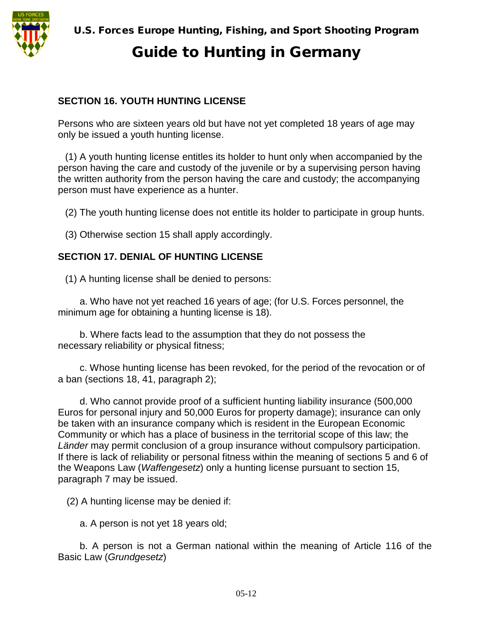

#### **SECTION 16. YOUTH HUNTING LICENSE**

Persons who are sixteen years old but have not yet completed 18 years of age may only be issued a youth hunting license.

(1) A youth hunting license entitles its holder to hunt only when accompanied by the person having the care and custody of the juvenile or by a supervising person having the written authority from the person having the care and custody; the accompanying person must have experience as a hunter.

(2) The youth hunting license does not entitle its holder to participate in group hunts.

(3) Otherwise section 15 shall apply accordingly.

#### **SECTION 17. DENIAL OF HUNTING LICENSE**

(1) A hunting license shall be denied to persons:

a. Who have not yet reached 16 years of age; (for U.S. Forces personnel, the minimum age for obtaining a hunting license is 18).

b. Where facts lead to the assumption that they do not possess the necessary reliability or physical fitness;

c. Whose hunting license has been revoked, for the period of the revocation or of a ban (sections 18, 41, paragraph 2);

d. Who cannot provide proof of a sufficient hunting liability insurance (500,000 Euros for personal injury and 50,000 Euros for property damage); insurance can only be taken with an insurance company which is resident in the European Economic Community or which has a place of business in the territorial scope of this law; the *Länder* may permit conclusion of a group insurance without compulsory participation. If there is lack of reliability or personal fitness within the meaning of sections 5 and 6 of the Weapons Law (*Waffengesetz*) only a hunting license pursuant to section 15, paragraph 7 may be issued.

(2) A hunting license may be denied if:

a. A person is not yet 18 years old;

b. A person is not a German national within the meaning of Article 116 of the Basic Law (*Grundgesetz*)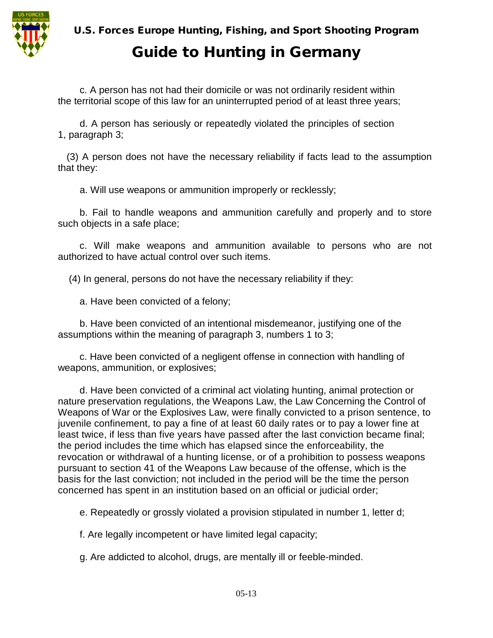

# Guide to Hunting in Germany

c. A person has not had their domicile or was not ordinarily resident within the territorial scope of this law for an uninterrupted period of at least three years;

d. A person has seriously or repeatedly violated the principles of section 1, paragraph 3;

(3) A person does not have the necessary reliability if facts lead to the assumption that they:

a. Will use weapons or ammunition improperly or recklessly;

b. Fail to handle weapons and ammunition carefully and properly and to store such objects in a safe place;

c. Will make weapons and ammunition available to persons who are not authorized to have actual control over such items.

(4) In general, persons do not have the necessary reliability if they:

a. Have been convicted of a felony;

b. Have been convicted of an intentional misdemeanor, justifying one of the assumptions within the meaning of paragraph 3, numbers 1 to 3;

c. Have been convicted of a negligent offense in connection with handling of weapons, ammunition, or explosives;

d. Have been convicted of a criminal act violating hunting, animal protection or nature preservation regulations, the Weapons Law, the Law Concerning the Control of Weapons of War or the Explosives Law, were finally convicted to a prison sentence, to juvenile confinement, to pay a fine of at least 60 daily rates or to pay a lower fine at least twice, if less than five years have passed after the last conviction became final; the period includes the time which has elapsed since the enforceability, the revocation or withdrawal of a hunting license, or of a prohibition to possess weapons pursuant to section 41 of the Weapons Law because of the offense, which is the basis for the last conviction; not included in the period will be the time the person concerned has spent in an institution based on an official or judicial order;

e. Repeatedly or grossly violated a provision stipulated in number 1, letter d;

f. Are legally incompetent or have limited legal capacity;

g. Are addicted to alcohol, drugs, are mentally ill or feeble-minded.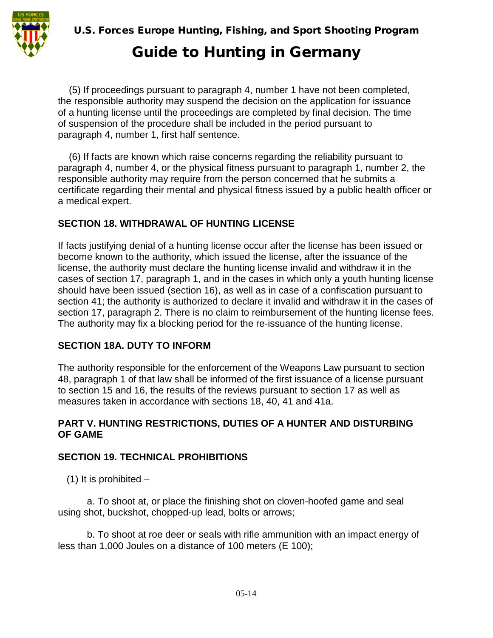

(5) If proceedings pursuant to paragraph 4, number 1 have not been completed, the responsible authority may suspend the decision on the application for issuance of a hunting license until the proceedings are completed by final decision. The time of suspension of the procedure shall be included in the period pursuant to paragraph 4, number 1, first half sentence.

(6) If facts are known which raise concerns regarding the reliability pursuant to paragraph 4, number 4, or the physical fitness pursuant to paragraph 1, number 2, the responsible authority may require from the person concerned that he submits a certificate regarding their mental and physical fitness issued by a public health officer or a medical expert.

## **SECTION 18. WITHDRAWAL OF HUNTING LICENSE**

If facts justifying denial of a hunting license occur after the license has been issued or become known to the authority, which issued the license, after the issuance of the license, the authority must declare the hunting license invalid and withdraw it in the cases of section 17, paragraph 1, and in the cases in which only a youth hunting license should have been issued (section 16), as well as in case of a confiscation pursuant to section 41; the authority is authorized to declare it invalid and withdraw it in the cases of section 17, paragraph 2. There is no claim to reimbursement of the hunting license fees. The authority may fix a blocking period for the re-issuance of the hunting license.

## **SECTION 18A. DUTY TO INFORM**

The authority responsible for the enforcement of the Weapons Law pursuant to section 48, paragraph 1 of that law shall be informed of the first issuance of a license pursuant to section 15 and 16, the results of the reviews pursuant to section 17 as well as measures taken in accordance with sections 18, 40, 41 and 41a.

#### **PART V. HUNTING RESTRICTIONS, DUTIES OF A HUNTER AND DISTURBING OF GAME**

#### **SECTION 19. TECHNICAL PROHIBITIONS**

(1) It is prohibited  $-$ 

a. To shoot at, or place the finishing shot on cloven-hoofed game and seal using shot, buckshot, chopped-up lead, bolts or arrows;

b. To shoot at roe deer or seals with rifle ammunition with an impact energy of less than 1,000 Joules on a distance of 100 meters (E 100);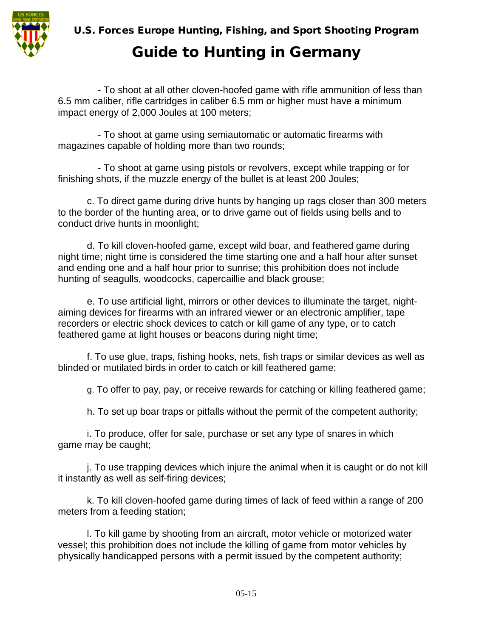

# Guide to Hunting in Germany

- To shoot at all other cloven-hoofed game with rifle ammunition of less than 6.5 mm caliber, rifle cartridges in caliber 6.5 mm or higher must have a minimum impact energy of 2,000 Joules at 100 meters;

- To shoot at game using semiautomatic or automatic firearms with magazines capable of holding more than two rounds;

- To shoot at game using pistols or revolvers, except while trapping or for finishing shots, if the muzzle energy of the bullet is at least 200 Joules;

c. To direct game during drive hunts by hanging up rags closer than 300 meters to the border of the hunting area, or to drive game out of fields using bells and to conduct drive hunts in moonlight;

d. To kill cloven-hoofed game, except wild boar, and feathered game during night time; night time is considered the time starting one and a half hour after sunset and ending one and a half hour prior to sunrise; this prohibition does not include hunting of seagulls, woodcocks, capercaillie and black grouse;

e. To use artificial light, mirrors or other devices to illuminate the target, nightaiming devices for firearms with an infrared viewer or an electronic amplifier, tape recorders or electric shock devices to catch or kill game of any type, or to catch feathered game at light houses or beacons during night time;

f. To use glue, traps, fishing hooks, nets, fish traps or similar devices as well as blinded or mutilated birds in order to catch or kill feathered game;

g. To offer to pay, pay, or receive rewards for catching or killing feathered game;

h. To set up boar traps or pitfalls without the permit of the competent authority;

i. To produce, offer for sale, purchase or set any type of snares in which game may be caught;

j. To use trapping devices which injure the animal when it is caught or do not kill it instantly as well as self-firing devices;

k. To kill cloven-hoofed game during times of lack of feed within a range of 200 meters from a feeding station;

l. To kill game by shooting from an aircraft, motor vehicle or motorized water vessel; this prohibition does not include the killing of game from motor vehicles by physically handicapped persons with a permit issued by the competent authority;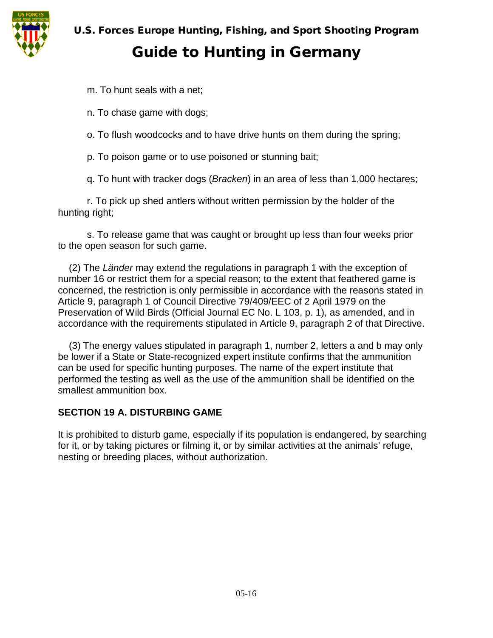

# Guide to Hunting in Germany

m. To hunt seals with a net;

n. To chase game with dogs;

o. To flush woodcocks and to have drive hunts on them during the spring;

p. To poison game or to use poisoned or stunning bait;

q. To hunt with tracker dogs (*Bracken*) in an area of less than 1,000 hectares;

r. To pick up shed antlers without written permission by the holder of the hunting right;

s. To release game that was caught or brought up less than four weeks prior to the open season for such game.

(2) The *Länder* may extend the regulations in paragraph 1 with the exception of number 16 or restrict them for a special reason; to the extent that feathered game is concerned, the restriction is only permissible in accordance with the reasons stated in Article 9, paragraph 1 of Council Directive 79/409/EEC of 2 April 1979 on the Preservation of Wild Birds (Official Journal EC No. L 103, p. 1), as amended, and in accordance with the requirements stipulated in Article 9, paragraph 2 of that Directive.

(3) The energy values stipulated in paragraph 1, number 2, letters a and b may only be lower if a State or State-recognized expert institute confirms that the ammunition can be used for specific hunting purposes. The name of the expert institute that performed the testing as well as the use of the ammunition shall be identified on the smallest ammunition box.

#### **SECTION 19 A. DISTURBING GAME**

It is prohibited to disturb game, especially if its population is endangered, by searching for it, or by taking pictures or filming it, or by similar activities at the animals' refuge, nesting or breeding places, without authorization.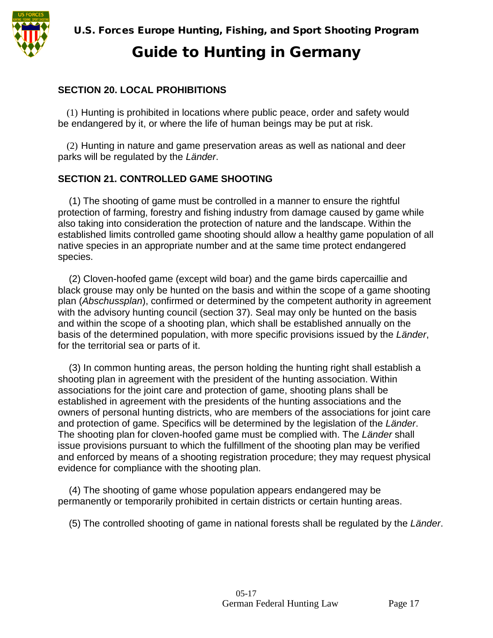#### **SECTION 20. LOCAL PROHIBITIONS**

(1) Hunting is prohibited in locations where public peace, order and safety would be endangered by it, or where the life of human beings may be put at risk.

(2) Hunting in nature and game preservation areas as well as national and deer parks will be regulated by the *Länder*.

#### **SECTION 21. CONTROLLED GAME SHOOTING**

(1) The shooting of game must be controlled in a manner to ensure the rightful protection of farming, forestry and fishing industry from damage caused by game while also taking into consideration the protection of nature and the landscape. Within the established limits controlled game shooting should allow a healthy game population of all native species in an appropriate number and at the same time protect endangered species.

(2) Cloven-hoofed game (except wild boar) and the game birds capercaillie and black grouse may only be hunted on the basis and within the scope of a game shooting plan (*Abschussplan*), confirmed or determined by the competent authority in agreement with the advisory hunting council (section 37). Seal may only be hunted on the basis and within the scope of a shooting plan, which shall be established annually on the basis of the determined population, with more specific provisions issued by the *Länder*, for the territorial sea or parts of it.

(3) In common hunting areas, the person holding the hunting right shall establish a shooting plan in agreement with the president of the hunting association. Within associations for the joint care and protection of game, shooting plans shall be established in agreement with the presidents of the hunting associations and the owners of personal hunting districts, who are members of the associations for joint care and protection of game. Specifics will be determined by the legislation of the *Länder*. The shooting plan for cloven-hoofed game must be complied with. The *Länder* shall issue provisions pursuant to which the fulfillment of the shooting plan may be verified and enforced by means of a shooting registration procedure; they may request physical evidence for compliance with the shooting plan.

(4) The shooting of game whose population appears endangered may be permanently or temporarily prohibited in certain districts or certain hunting areas.

(5) The controlled shooting of game in national forests shall be regulated by the *Länder*.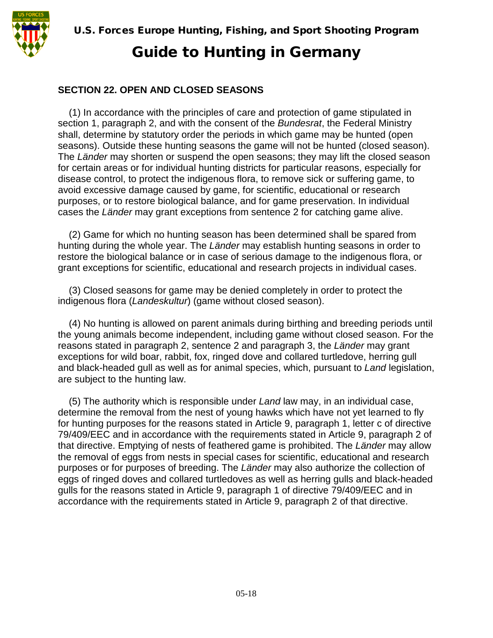

### **SECTION 22. OPEN AND CLOSED SEASONS**

(1) In accordance with the principles of care and protection of game stipulated in section 1, paragraph 2, and with the consent of the *Bundesrat*, the Federal Ministry shall, determine by statutory order the periods in which game may be hunted (open seasons). Outside these hunting seasons the game will not be hunted (closed season). The *Länder* may shorten or suspend the open seasons; they may lift the closed season for certain areas or for individual hunting districts for particular reasons, especially for disease control, to protect the indigenous flora, to remove sick or suffering game, to avoid excessive damage caused by game, for scientific, educational or research purposes, or to restore biological balance, and for game preservation. In individual cases the *Länder* may grant exceptions from sentence 2 for catching game alive.

(2) Game for which no hunting season has been determined shall be spared from hunting during the whole year. The *Länder* may establish hunting seasons in order to restore the biological balance or in case of serious damage to the indigenous flora, or grant exceptions for scientific, educational and research projects in individual cases.

(3) Closed seasons for game may be denied completely in order to protect the indigenous flora (*Landeskultur*) (game without closed season).

(4) No hunting is allowed on parent animals during birthing and breeding periods until the young animals become independent, including game without closed season. For the reasons stated in paragraph 2, sentence 2 and paragraph 3, the *Länder* may grant exceptions for wild boar, rabbit, fox, ringed dove and collared turtledove, herring gull and black-headed gull as well as for animal species, which, pursuant to *Land* legislation, are subject to the hunting law.

(5) The authority which is responsible under *Land* law may, in an individual case, determine the removal from the nest of young hawks which have not yet learned to fly for hunting purposes for the reasons stated in Article 9, paragraph 1, letter c of directive 79/409/EEC and in accordance with the requirements stated in Article 9, paragraph 2 of that directive. Emptying of nests of feathered game is prohibited. The *Länder* may allow the removal of eggs from nests in special cases for scientific, educational and research purposes or for purposes of breeding. The *Länder* may also authorize the collection of eggs of ringed doves and collared turtledoves as well as herring gulls and black-headed gulls for the reasons stated in Article 9, paragraph 1 of directive 79/409/EEC and in accordance with the requirements stated in Article 9, paragraph 2 of that directive.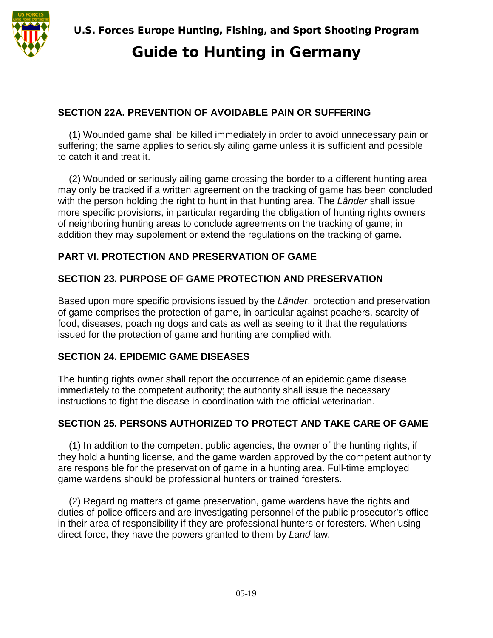

### **SECTION 22A. PREVENTION OF AVOIDABLE PAIN OR SUFFERING**

(1) Wounded game shall be killed immediately in order to avoid unnecessary pain or suffering; the same applies to seriously ailing game unless it is sufficient and possible to catch it and treat it.

(2) Wounded or seriously ailing game crossing the border to a different hunting area may only be tracked if a written agreement on the tracking of game has been concluded with the person holding the right to hunt in that hunting area. The *Länder* shall issue more specific provisions, in particular regarding the obligation of hunting rights owners of neighboring hunting areas to conclude agreements on the tracking of game; in addition they may supplement or extend the regulations on the tracking of game.

#### **PART VI. PROTECTION AND PRESERVATION OF GAME**

#### **SECTION 23. PURPOSE OF GAME PROTECTION AND PRESERVATION**

Based upon more specific provisions issued by the *Länder*, protection and preservation of game comprises the protection of game, in particular against poachers, scarcity of food, diseases, poaching dogs and cats as well as seeing to it that the regulations issued for the protection of game and hunting are complied with.

#### **SECTION 24. EPIDEMIC GAME DISEASES**

The hunting rights owner shall report the occurrence of an epidemic game disease immediately to the competent authority; the authority shall issue the necessary instructions to fight the disease in coordination with the official veterinarian.

#### **SECTION 25. PERSONS AUTHORIZED TO PROTECT AND TAKE CARE OF GAME**

(1) In addition to the competent public agencies, the owner of the hunting rights, if they hold a hunting license, and the game warden approved by the competent authority are responsible for the preservation of game in a hunting area. Full-time employed game wardens should be professional hunters or trained foresters.

(2) Regarding matters of game preservation, game wardens have the rights and duties of police officers and are investigating personnel of the public prosecutor's office in their area of responsibility if they are professional hunters or foresters. When using direct force, they have the powers granted to them by *Land* law.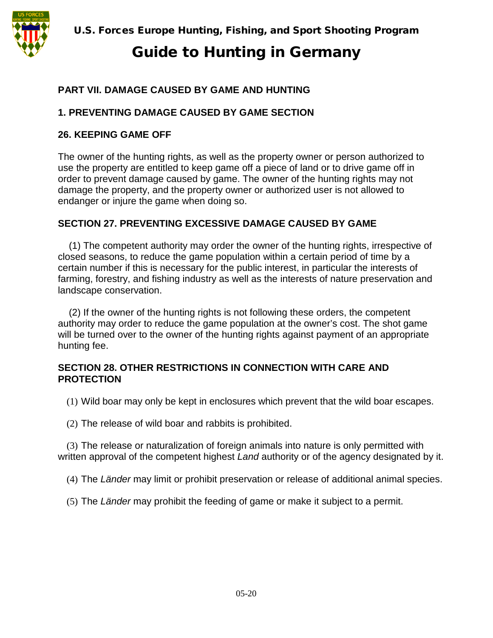

# Guide to Hunting in Germany

## **PART VII. DAMAGE CAUSED BY GAME AND HUNTING**

### **1. PREVENTING DAMAGE CAUSED BY GAME SECTION**

#### **26. KEEPING GAME OFF**

The owner of the hunting rights, as well as the property owner or person authorized to use the property are entitled to keep game off a piece of land or to drive game off in order to prevent damage caused by game. The owner of the hunting rights may not damage the property, and the property owner or authorized user is not allowed to endanger or injure the game when doing so.

### **SECTION 27. PREVENTING EXCESSIVE DAMAGE CAUSED BY GAME**

(1) The competent authority may order the owner of the hunting rights, irrespective of closed seasons, to reduce the game population within a certain period of time by a certain number if this is necessary for the public interest, in particular the interests of farming, forestry, and fishing industry as well as the interests of nature preservation and landscape conservation.

(2) If the owner of the hunting rights is not following these orders, the competent authority may order to reduce the game population at the owner's cost. The shot game will be turned over to the owner of the hunting rights against payment of an appropriate hunting fee.

#### **SECTION 28. OTHER RESTRICTIONS IN CONNECTION WITH CARE AND PROTECTION**

(1) Wild boar may only be kept in enclosures which prevent that the wild boar escapes.

(2) The release of wild boar and rabbits is prohibited.

(3) The release or naturalization of foreign animals into nature is only permitted with written approval of the competent highest *Land* authority or of the agency designated by it.

(4) The *Länder* may limit or prohibit preservation or release of additional animal species.

(5) The *Länder* may prohibit the feeding of game or make it subject to a permit.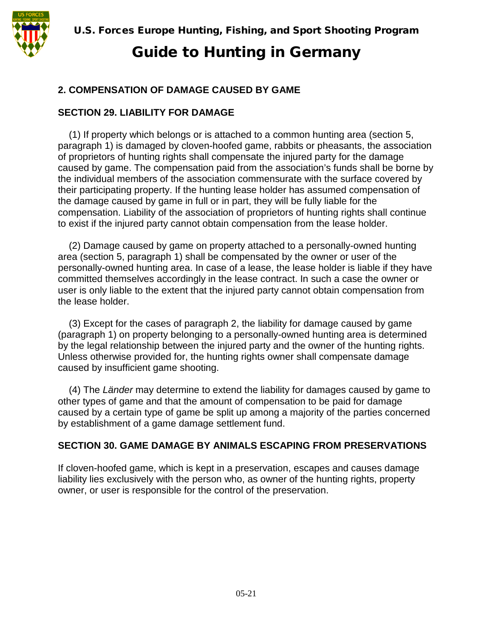

## **2. COMPENSATION OF DAMAGE CAUSED BY GAME**

### **SECTION 29. LIABILITY FOR DAMAGE**

(1) If property which belongs or is attached to a common hunting area (section 5, paragraph 1) is damaged by cloven-hoofed game, rabbits or pheasants, the association of proprietors of hunting rights shall compensate the injured party for the damage caused by game. The compensation paid from the association's funds shall be borne by the individual members of the association commensurate with the surface covered by their participating property. If the hunting lease holder has assumed compensation of the damage caused by game in full or in part, they will be fully liable for the compensation. Liability of the association of proprietors of hunting rights shall continue to exist if the injured party cannot obtain compensation from the lease holder.

(2) Damage caused by game on property attached to a personally-owned hunting area (section 5, paragraph 1) shall be compensated by the owner or user of the personally-owned hunting area. In case of a lease, the lease holder is liable if they have committed themselves accordingly in the lease contract. In such a case the owner or user is only liable to the extent that the injured party cannot obtain compensation from the lease holder.

(3) Except for the cases of paragraph 2, the liability for damage caused by game (paragraph 1) on property belonging to a personally-owned hunting area is determined by the legal relationship between the injured party and the owner of the hunting rights. Unless otherwise provided for, the hunting rights owner shall compensate damage caused by insufficient game shooting.

(4) The *Länder* may determine to extend the liability for damages caused by game to other types of game and that the amount of compensation to be paid for damage caused by a certain type of game be split up among a majority of the parties concerned by establishment of a game damage settlement fund.

## **SECTION 30. GAME DAMAGE BY ANIMALS ESCAPING FROM PRESERVATIONS**

If cloven-hoofed game, which is kept in a preservation, escapes and causes damage liability lies exclusively with the person who, as owner of the hunting rights, property owner, or user is responsible for the control of the preservation.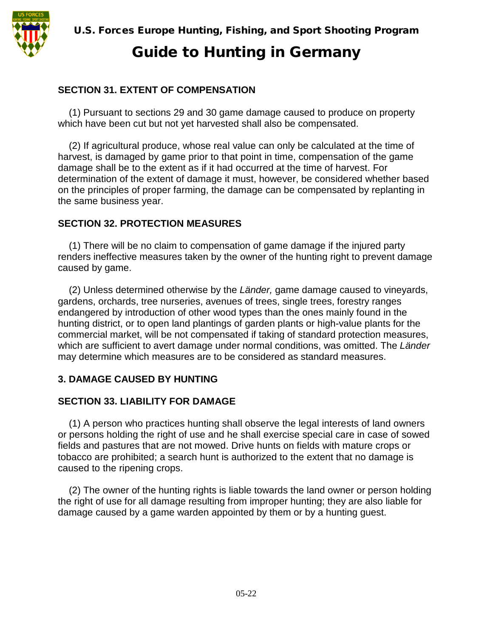

#### **SECTION 31. EXTENT OF COMPENSATION**

(1) Pursuant to sections 29 and 30 game damage caused to produce on property which have been cut but not yet harvested shall also be compensated.

(2) If agricultural produce, whose real value can only be calculated at the time of harvest, is damaged by game prior to that point in time, compensation of the game damage shall be to the extent as if it had occurred at the time of harvest. For determination of the extent of damage it must, however, be considered whether based on the principles of proper farming, the damage can be compensated by replanting in the same business year.

#### **SECTION 32. PROTECTION MEASURES**

(1) There will be no claim to compensation of game damage if the injured party renders ineffective measures taken by the owner of the hunting right to prevent damage caused by game.

(2) Unless determined otherwise by the *Länder,* game damage caused to vineyards, gardens, orchards, tree nurseries, avenues of trees, single trees, forestry ranges endangered by introduction of other wood types than the ones mainly found in the hunting district, or to open land plantings of garden plants or high-value plants for the commercial market, will be not compensated if taking of standard protection measures, which are sufficient to avert damage under normal conditions, was omitted. The *Länder*  may determine which measures are to be considered as standard measures.

#### **3. DAMAGE CAUSED BY HUNTING**

#### **SECTION 33. LIABILITY FOR DAMAGE**

(1) A person who practices hunting shall observe the legal interests of land owners or persons holding the right of use and he shall exercise special care in case of sowed fields and pastures that are not mowed. Drive hunts on fields with mature crops or tobacco are prohibited; a search hunt is authorized to the extent that no damage is caused to the ripening crops.

(2) The owner of the hunting rights is liable towards the land owner or person holding the right of use for all damage resulting from improper hunting; they are also liable for damage caused by a game warden appointed by them or by a hunting guest.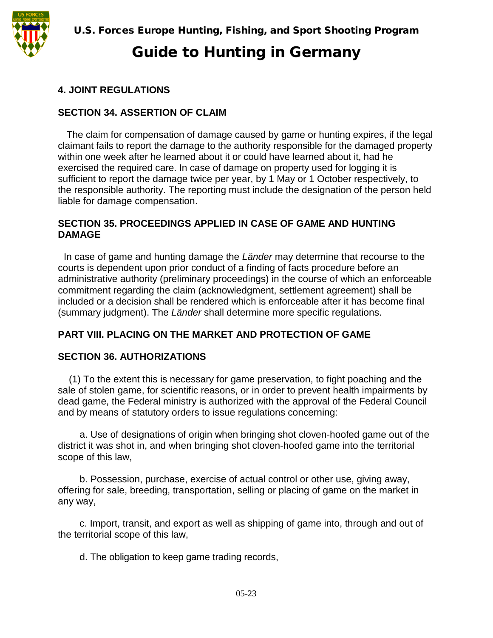

## **4. JOINT REGULATIONS**

#### **SECTION 34. ASSERTION OF CLAIM**

The claim for compensation of damage caused by game or hunting expires, if the legal claimant fails to report the damage to the authority responsible for the damaged property within one week after he learned about it or could have learned about it, had he exercised the required care. In case of damage on property used for logging it is sufficient to report the damage twice per year, by 1 May or 1 October respectively, to the responsible authority. The reporting must include the designation of the person held liable for damage compensation.

#### **SECTION 35. PROCEEDINGS APPLIED IN CASE OF GAME AND HUNTING DAMAGE**

In case of game and hunting damage the *Länder* may determine that recourse to the courts is dependent upon prior conduct of a finding of facts procedure before an administrative authority (preliminary proceedings) in the course of which an enforceable commitment regarding the claim (acknowledgment, settlement agreement) shall be included or a decision shall be rendered which is enforceable after it has become final (summary judgment). The *Länder* shall determine more specific regulations.

#### **PART VIII. PLACING ON THE MARKET AND PROTECTION OF GAME**

#### **SECTION 36. AUTHORIZATIONS**

(1) To the extent this is necessary for game preservation, to fight poaching and the sale of stolen game, for scientific reasons, or in order to prevent health impairments by dead game, the Federal ministry is authorized with the approval of the Federal Council and by means of statutory orders to issue regulations concerning:

a. Use of designations of origin when bringing shot cloven-hoofed game out of the district it was shot in, and when bringing shot cloven-hoofed game into the territorial scope of this law,

b. Possession, purchase, exercise of actual control or other use, giving away, offering for sale, breeding, transportation, selling or placing of game on the market in any way,

c. Import, transit, and export as well as shipping of game into, through and out of the territorial scope of this law,

d. The obligation to keep game trading records,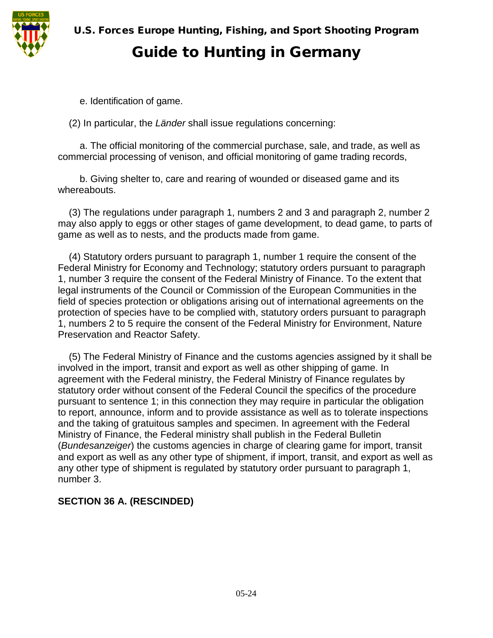

# Guide to Hunting in Germany

e. Identification of game.

(2) In particular, the *Länder* shall issue regulations concerning:

a. The official monitoring of the commercial purchase, sale, and trade, as well as commercial processing of venison, and official monitoring of game trading records,

b. Giving shelter to, care and rearing of wounded or diseased game and its whereabouts.

(3) The regulations under paragraph 1, numbers 2 and 3 and paragraph 2, number 2 may also apply to eggs or other stages of game development, to dead game, to parts of game as well as to nests, and the products made from game.

(4) Statutory orders pursuant to paragraph 1, number 1 require the consent of the Federal Ministry for Economy and Technology; statutory orders pursuant to paragraph 1, number 3 require the consent of the Federal Ministry of Finance. To the extent that legal instruments of the Council or Commission of the European Communities in the field of species protection or obligations arising out of international agreements on the protection of species have to be complied with, statutory orders pursuant to paragraph 1, numbers 2 to 5 require the consent of the Federal Ministry for Environment, Nature Preservation and Reactor Safety.

(5) The Federal Ministry of Finance and the customs agencies assigned by it shall be involved in the import, transit and export as well as other shipping of game. In agreement with the Federal ministry, the Federal Ministry of Finance regulates by statutory order without consent of the Federal Council the specifics of the procedure pursuant to sentence 1; in this connection they may require in particular the obligation to report, announce, inform and to provide assistance as well as to tolerate inspections and the taking of gratuitous samples and specimen. In agreement with the Federal Ministry of Finance, the Federal ministry shall publish in the Federal Bulletin (*Bundesanzeiger*) the customs agencies in charge of clearing game for import, transit and export as well as any other type of shipment, if import, transit, and export as well as any other type of shipment is regulated by statutory order pursuant to paragraph 1, number 3.

#### **SECTION 36 A. (RESCINDED)**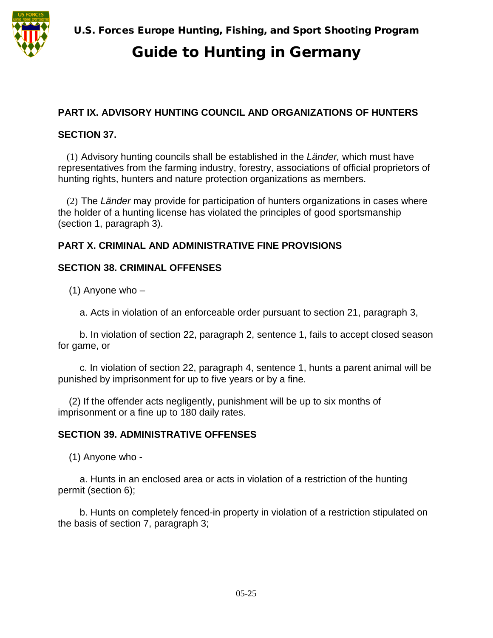

# Guide to Hunting in Germany

### **PART IX. ADVISORY HUNTING COUNCIL AND ORGANIZATIONS OF HUNTERS**

#### **SECTION 37.**

(1) Advisory hunting councils shall be established in the *Länder,* which must have representatives from the farming industry, forestry, associations of official proprietors of hunting rights, hunters and nature protection organizations as members.

(2) The *Länder* may provide for participation of hunters organizations in cases where the holder of a hunting license has violated the principles of good sportsmanship (section 1, paragraph 3).

### **PART X. CRIMINAL AND ADMINISTRATIVE FINE PROVISIONS**

#### **SECTION 38. CRIMINAL OFFENSES**

 $(1)$  Anyone who  $-$ 

a. Acts in violation of an enforceable order pursuant to section 21, paragraph 3,

b. In violation of section 22, paragraph 2, sentence 1, fails to accept closed season for game, or

c. In violation of section 22, paragraph 4, sentence 1, hunts a parent animal will be punished by imprisonment for up to five years or by a fine.

(2) If the offender acts negligently, punishment will be up to six months of imprisonment or a fine up to 180 daily rates.

#### **SECTION 39. ADMINISTRATIVE OFFENSES**

(1) Anyone who -

a. Hunts in an enclosed area or acts in violation of a restriction of the hunting permit (section 6);

b. Hunts on completely fenced-in property in violation of a restriction stipulated on the basis of section 7, paragraph 3;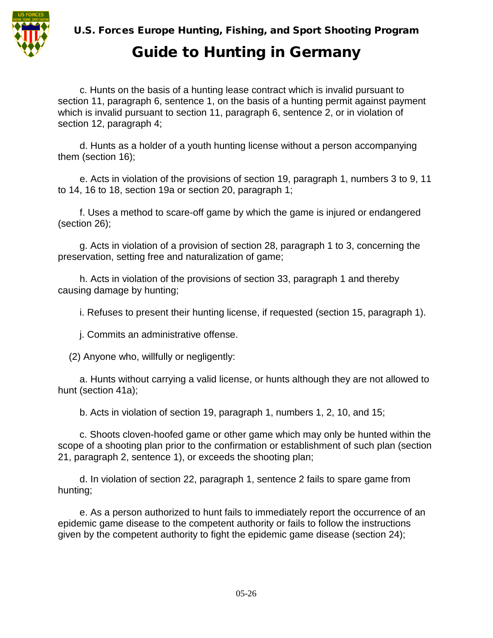

# Guide to Hunting in Germany

c. Hunts on the basis of a hunting lease contract which is invalid pursuant to section 11, paragraph 6, sentence 1, on the basis of a hunting permit against payment which is invalid pursuant to section 11, paragraph 6, sentence 2, or in violation of section 12, paragraph 4;

d. Hunts as a holder of a youth hunting license without a person accompanying them (section 16);

e. Acts in violation of the provisions of section 19, paragraph 1, numbers 3 to 9, 11 to 14, 16 to 18, section 19a or section 20, paragraph 1;

f. Uses a method to scare-off game by which the game is injured or endangered (section 26);

g. Acts in violation of a provision of section 28, paragraph 1 to 3, concerning the preservation, setting free and naturalization of game;

h. Acts in violation of the provisions of section 33, paragraph 1 and thereby causing damage by hunting;

i. Refuses to present their hunting license, if requested (section 15, paragraph 1).

j. Commits an administrative offense.

(2) Anyone who, willfully or negligently:

a. Hunts without carrying a valid license, or hunts although they are not allowed to hunt (section 41a);

b. Acts in violation of section 19, paragraph 1, numbers 1, 2, 10, and 15;

c. Shoots cloven-hoofed game or other game which may only be hunted within the scope of a shooting plan prior to the confirmation or establishment of such plan (section 21, paragraph 2, sentence 1), or exceeds the shooting plan;

d. In violation of section 22, paragraph 1, sentence 2 fails to spare game from hunting;

e. As a person authorized to hunt fails to immediately report the occurrence of an epidemic game disease to the competent authority or fails to follow the instructions given by the competent authority to fight the epidemic game disease (section 24);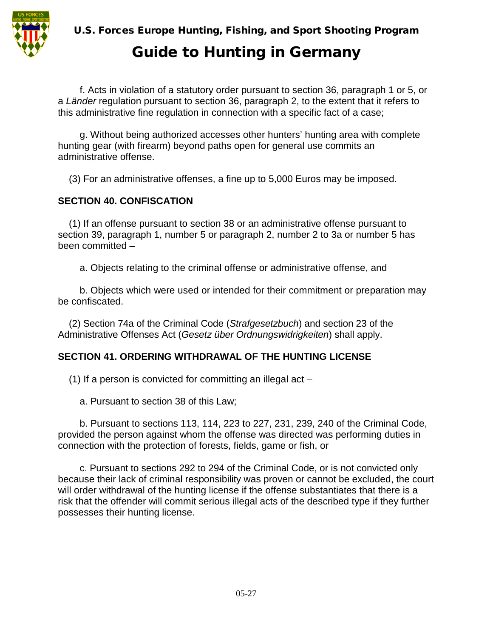

# Guide to Hunting in Germany

f. Acts in violation of a statutory order pursuant to section 36, paragraph 1 or 5, or a *Länder* regulation pursuant to section 36, paragraph 2, to the extent that it refers to this administrative fine regulation in connection with a specific fact of a case;

g. Without being authorized accesses other hunters' hunting area with complete hunting gear (with firearm) beyond paths open for general use commits an administrative offense.

(3) For an administrative offenses, a fine up to 5,000 Euros may be imposed.

#### **SECTION 40. CONFISCATION**

(1) If an offense pursuant to section 38 or an administrative offense pursuant to section 39, paragraph 1, number 5 or paragraph 2, number 2 to 3a or number 5 has been committed –

a. Objects relating to the criminal offense or administrative offense, and

b. Objects which were used or intended for their commitment or preparation may be confiscated.

(2) Section 74a of the Criminal Code (*Strafgesetzbuch*) and section 23 of the Administrative Offenses Act (*Gesetz über Ordnungswidrigkeiten*) shall apply.

## **SECTION 41. ORDERING WITHDRAWAL OF THE HUNTING LICENSE**

(1) If a person is convicted for committing an illegal act –

a. Pursuant to section 38 of this Law;

b. Pursuant to sections 113, 114, 223 to 227, 231, 239, 240 of the Criminal Code, provided the person against whom the offense was directed was performing duties in connection with the protection of forests, fields, game or fish, or

c. Pursuant to sections 292 to 294 of the Criminal Code, or is not convicted only because their lack of criminal responsibility was proven or cannot be excluded, the court will order withdrawal of the hunting license if the offense substantiates that there is a risk that the offender will commit serious illegal acts of the described type if they further possesses their hunting license.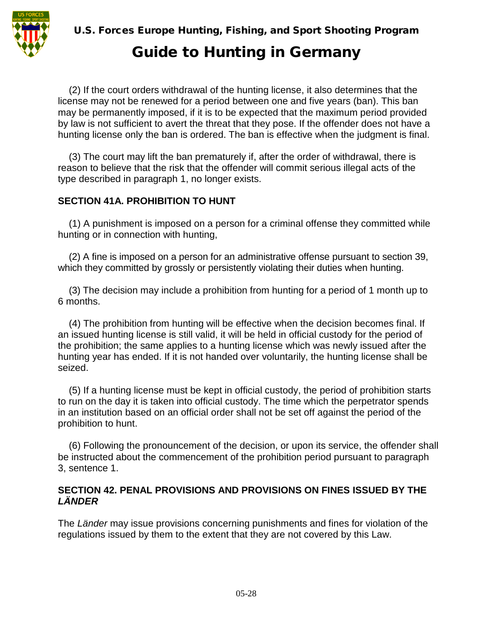

(2) If the court orders withdrawal of the hunting license, it also determines that the license may not be renewed for a period between one and five years (ban). This ban may be permanently imposed, if it is to be expected that the maximum period provided by law is not sufficient to avert the threat that they pose. If the offender does not have a hunting license only the ban is ordered. The ban is effective when the judgment is final.

(3) The court may lift the ban prematurely if, after the order of withdrawal, there is reason to believe that the risk that the offender will commit serious illegal acts of the type described in paragraph 1, no longer exists.

## **SECTION 41A. PROHIBITION TO HUNT**

(1) A punishment is imposed on a person for a criminal offense they committed while hunting or in connection with hunting,

(2) A fine is imposed on a person for an administrative offense pursuant to section 39, which they committed by grossly or persistently violating their duties when hunting.

(3) The decision may include a prohibition from hunting for a period of 1 month up to 6 months.

(4) The prohibition from hunting will be effective when the decision becomes final. If an issued hunting license is still valid, it will be held in official custody for the period of the prohibition; the same applies to a hunting license which was newly issued after the hunting year has ended. If it is not handed over voluntarily, the hunting license shall be seized.

(5) If a hunting license must be kept in official custody, the period of prohibition starts to run on the day it is taken into official custody. The time which the perpetrator spends in an institution based on an official order shall not be set off against the period of the prohibition to hunt.

(6) Following the pronouncement of the decision, or upon its service, the offender shall be instructed about the commencement of the prohibition period pursuant to paragraph 3, sentence 1.

#### **SECTION 42. PENAL PROVISIONS AND PROVISIONS ON FINES ISSUED BY THE**  *LÄNDER*

The *Länder* may issue provisions concerning punishments and fines for violation of the regulations issued by them to the extent that they are not covered by this Law.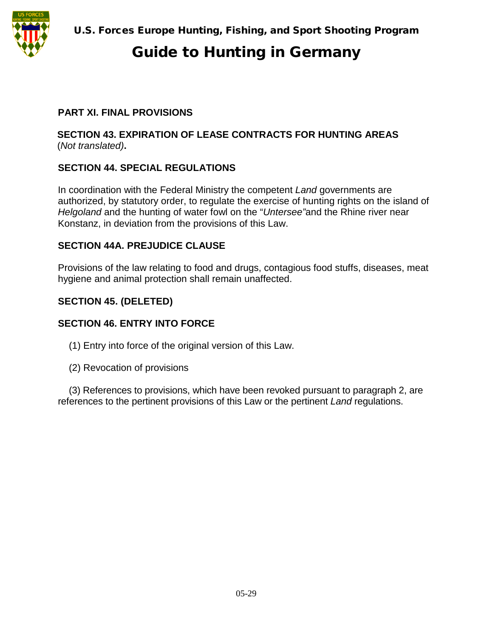

# Guide to Hunting in Germany

### **PART XI. FINAL PROVISIONS**

#### **SECTION 43. EXPIRATION OF LEASE CONTRACTS FOR HUNTING AREAS**  (*Not translated)***.**

### **SECTION 44. SPECIAL REGULATIONS**

In coordination with the Federal Ministry the competent *Land* governments are authorized, by statutory order, to regulate the exercise of hunting rights on the island of *Helgoland* and the hunting of water fowl on the "*Untersee"*and the Rhine river near Konstanz, in deviation from the provisions of this Law.

#### **SECTION 44A. PREJUDICE CLAUSE**

Provisions of the law relating to food and drugs, contagious food stuffs, diseases, meat hygiene and animal protection shall remain unaffected.

#### **SECTION 45. (DELETED)**

#### **SECTION 46. ENTRY INTO FORCE**

- (1) Entry into force of the original version of this Law.
- (2) Revocation of provisions

(3) References to provisions, which have been revoked pursuant to paragraph 2, are references to the pertinent provisions of this Law or the pertinent *Land* regulations.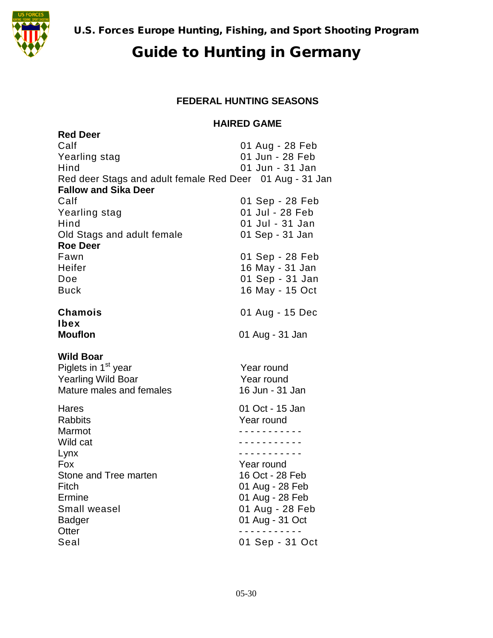

#### **FEDERAL HUNTING SEASONS**

#### **HAIRED GAME**

| <b>Red Deer</b>                                          |                 |
|----------------------------------------------------------|-----------------|
| Calf                                                     | 01 Aug - 28 Feb |
| Yearling stag                                            | 01 Jun - 28 Feb |
| Hind                                                     | 01 Jun - 31 Jan |
| Red deer Stags and adult female Red Deer 01 Aug - 31 Jan |                 |
| <b>Fallow and Sika Deer</b>                              |                 |
| Calf                                                     | 01 Sep - 28 Feb |
| Yearling stag                                            | 01 Jul - 28 Feb |
| Hind                                                     | 01 Jul - 31 Jan |
| Old Stags and adult female                               | 01 Sep - 31 Jan |
| <b>Roe Deer</b>                                          |                 |
| Fawn                                                     | 01 Sep - 28 Feb |
| Heifer                                                   | 16 May - 31 Jan |
| Doe                                                      | 01 Sep - 31 Jan |
| <b>Buck</b>                                              | 16 May - 15 Oct |
|                                                          |                 |
| <b>Chamois</b>                                           | 01 Aug - 15 Dec |
| <b>Ibex</b>                                              |                 |
| <b>Mouflon</b>                                           | 01 Aug - 31 Jan |
|                                                          |                 |
|                                                          |                 |
| <b>Wild Boar</b>                                         |                 |
| Piglets in 1 <sup>st</sup> year                          | Year round      |
| <b>Yearling Wild Boar</b>                                | Year round      |
| Mature males and females                                 | 16 Jun - 31 Jan |
| Hares                                                    | 01 Oct - 15 Jan |
| <b>Rabbits</b>                                           | Year round      |
| Marmot                                                   | .               |
| Wild cat                                                 | .               |
| Lynx                                                     | <u>.</u>        |
| Fox                                                      | Year round      |
| Stone and Tree marten                                    | 16 Oct - 28 Feb |
| Fitch                                                    | 01 Aug - 28 Feb |
| Ermine                                                   | 01 Aug - 28 Feb |
| Small weasel                                             | 01 Aug - 28 Feb |
| <b>Badger</b>                                            | 01 Aug - 31 Oct |
| Otter<br>Seal                                            | 01 Sep - 31 Oct |